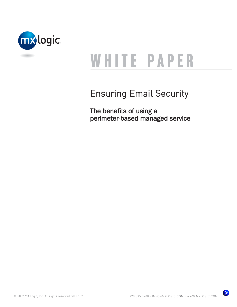

# WHITE PAPER

# Ensuring Email Security

The benefits of using a perimeter-based managed service

 $\bullet$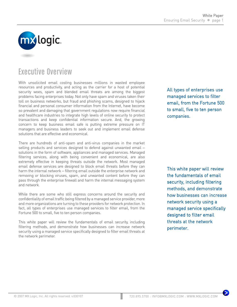

## Executive Overview

With unsolicited email costing businesses millions in wasted employee resources and productivity, and acting as the carrier for a host of potential security woes, spam and blended email threats are among the biggest problems facing enterprises today. Not only have spam and viruses taken their toll on business networks, but fraud and phishing scams, designed to hijack financial and personal consumer information from the Internet, have become so prevalent and damaging that government regulations now require financial and healthcare industries to integrate high levels of online security to protect transactions and keep confidential information secure. And, the growing concern to keep business email safe is putting extreme pressure on IT managers and business leaders to seek out and implement email defense solutions that are effective and economical.

There are hundreds of anti-spam and anti-virus companies in the market selling products and services designed to defend against unwanted email – solutions in the form of software, appliances and managed services. Managed filtering services, along with being convenient and economical, are also extremely effective in keeping threats outside the network. Most managed email defense services are designed to block email threats before they can harm the internal network – filtering email outside the enterprise network and removing or blocking viruses, spam, and unwanted content before they can pass through the enterprise firewall and harm the internal messaging system and network.

While there are some who still express concerns around the security and confidentiality of email traffic being filtered by a managed service provider, more and more organizations are turning to these providers for network protection. In fact, all types of enterprises use managed services to filter email, from the Fortune 500 to small, five to ten person companies.

This white paper will review the fundamentals of email security, including filtering methods, and demonstrate how businesses can increase network security using a managed service specifically designed to filter email threats at the network perimeter.

All types of enterprises use managed services to filter email, from the Fortune 500 to small, five to ten person companies.

This white paper will review the fundamentals of email security, including filtering methods, and demonstrate how businesses can increase network security using a managed service specifically designed to filter email threats at the network perimeter.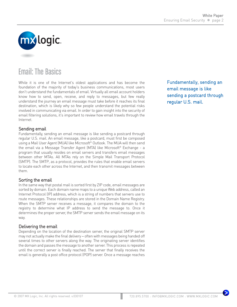

# Email: The Basics

While it is one of the Internet's oldest applications and has become the foundation of the majority of today's business communications, most users don't understand the fundamentals of email. Virtually all email account holders know how to send, open, receive, and reply to messages, but few really understand the journey an email message must take before it reaches its final destination, which is likely why so few people understand the potential risks involved in communicating via email. In order to gain insight into the security of email filtering solutions, it's important to review how email travels through the Internet.

#### Sending email

Fundamentally, sending an email message is like sending a postcard through regular U.S. mail. An email message, like a postcard, must first be composed using a Mail User Agent (MUA) like Microsoft® Outlook. The MUA will then send the email via a Message Transfer Agent (MTA) like Microsoft® Exchange - a program that usually resides on email servers and transfers email messages between other MTAs. All MTAs rely on the Simple Mail Transport Protocol (SMTP). The SMTP, as a protocol, provides the rules that enable email servers to locate each other across the Internet, and then transmit messages between them.

#### Sorting the email

In the same way that postal mail is sorted first by ZIP code, email messages are sorted by domain. Each domain name maps to a unique Web address, called an Internet Protocol (IP) address, which is a string of numbers that servers use to route messages. These relationships are stored in the Domain Name Registry. When the SMTP server receives a message, it compares the domain to the registry to determine what IP address to send the message to. Once it determines the proper server, the SMTP server sends the email message on its way.

#### Delivering the email

Depending on the location of the destination server, the original SMTP server may not actually make the final delivery – often with messages being handed off several times to other servers along the way. The originating server identifies the domain and passes the message to another server. This process is repeated until the correct server is finally reached. The server that finally receives the email is generally a post office protocol (POP) server. Once a message reaches

Fundamentally, sending an email message is like sending a postcard through regular U.S. mail.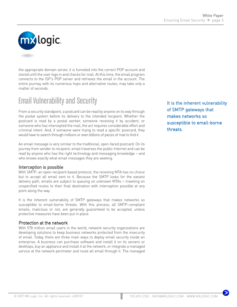

the appropriate domain server, it is funneled into the correct POP account and stored until the user logs in and checks for mail. At this time, the email program connects to the ISP's POP server and retrieves the email in the account. The entire journey, with its numerous hops and alternative routes, may take only a matter of seconds.

# Email Vulnerability and Security

From a security standpoint, a postcard can be read by anyone on its way through the postal system before its delivery to the intended recipient. Whether the postcard is read by a postal worker, someone receiving it by accident, or someone who has intercepted the mail, the act requires considerable effort and criminal intent. And, if someone were trying to read a specific postcard, they would have to search through millions or even billions of pieces of mail to find it.

An email message is very similar to the traditional, open-faced postcard. On its journey from sender to recipient, email traverses the public Internet and can be read by anyone who has the right technology and messaging knowledge – and who knows exactly what email messages they are seeking.

#### Interception is possible

With SMTP, an open-recipient based protocol, the receiving MTA has no choice but to accept all email sent to it. Because the SMTP looks for the easiest delivery path, emails are subject to queuing on unknown MTAs – traveling on unspecified routes to their final destination with interception possible at any point along the way.

It is the inherent vulnerability of SMTP gateways that makes networks so susceptible to email-borne threats. With this process, all SMTP-compliant emails, malicious or not, are generally guaranteed to be accepted, unless protective measures have been put in place.

#### Protection at the network

With 578 million email users in the world, network security organizations are developing solutions to keep business networks protected from the insecurity of email. Today, there are three main ways to deploy email security inside an enterprise. A business can purchase software and install it on its servers or desktops, buy an appliance and install it at the network, or integrate a managed service at the network perimeter and route all email through it. The managed

It is the inherent vulnerability of SMTP gateways that makes networks so susceptible to email-borne threats.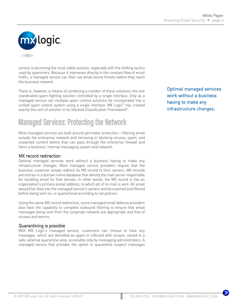

service is becoming the most viable solution, especially with the shifting tactics used by spammers. Because it intervenes directly in the constant flow of email traffic, a managed service can filter out email-borne threats before they reach the business network.

There is, however, a means of combining a number of these solutions into one coordinated spam-fighting solution controlled by a single interface. Only as a managed service can multiple spam control solutions be incorporated into a unified spam control system using a single interface. MX Logic® has created exactly this sort of solution in its Stacked Classification Framework®.

# Managed Services: Protecting the Network

Most managed services are built around perimeter protection − filtering email outside the enterprise network and removing or blocking viruses, spam, and unwanted content before they can pass through the enterprise firewall and harm a business' internal messaging system and network.

#### MX record redirection

Optimal managed services work without a business having to make any infrastructure changes. Most managed service providers require that the business customer simply redirect its MX record to their servers. MX records are entries in a domain name database that identify the mail server responsible for handling email for that domain. In other words, the MX record is like an organization's primary postal address, to which all of its mail is sent. All email would then flow into the managed service's servers and be scanned and filtered before being sent on, or quarantined according to set policies.

Using the same MX record redirection, some managed email defense providers also have the capability to complete outbound filtering to ensure that email messages being sent from the corporate network are appropriate and free of viruses and worms.

#### Quarantining is possible

With MX Logic's managed service, customers can choose to have any messages, which are identified as spam or infected with viruses, stored in a safe, external quarantine area, accessible only by messaging administrators. A managed service that provides the option to quarantine suspect messages

Optimal managed services work without a business having to make any infrastructure changes.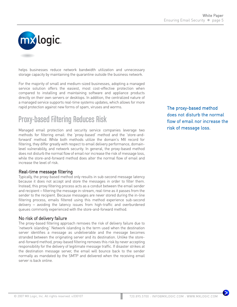

helps businesses reduce network bandwidth utilization and unnecessary storage capacity by maintaining the quarantine outside the business network.

For the majority of small and medium-sized businesses, adopting a managed service solution offers the easiest, most cost-effective protection when compared to installing and maintaining software and appliance products directly on their own servers or desktops. In addition, the centralized nature of a managed service supports real-time systems updates, which allows for more rapid protection against new forms of spam, viruses and worms.

# Proxy-based Filtering Reduces Risk

Managed email protection and security service companies leverage two methods for filtering email: the 'proxy-based' method and the 'store-andforward' method. While both methods utilize the domain's MX record for filtering, they differ greatly with respect to email delivery performance, domainlevel vulnerability, and network security. In general, the proxy-based method does not disturb the normal flow of email nor increase the risk of message loss, while the store-and-forward method does alter the normal flow of email and increase the level of risk.

#### Real-time message filtering

Typically, the proxy-based method only results in sub-second message latency because it does not accept and store the messages in order to filter them. Instead, this proxy filtering process acts as a conduit between the email sender and recipient − filtering the message in-stream, real-time as it passes from the sender to the recipient. Because messages are never stored during the in-line filtering process, emails filtered using this method experience sub-second delivery − avoiding the latency issues from high-traffic and overburdened queues commonly experienced with the store-and-forward method.

#### No risk of delivery failure

The proxy-based filtering approach removes the risk of delivery failure due to 'network islanding.' Network islanding is the term used when the destination server identifies a message as undeliverable and the message becomes stranded between the originating server and its destination. Unlike the storeand-forward method, proxy-based filtering removes this risk by never accepting responsibility for the delivery of legitimate message traffic. If disaster strikes at the destination message server, the email will bounce back to the sender normally as mandated by the SMTP and delivered when the receiving email server is back online.

The proxy-based method does not disturb the normal flow of email nor increase the risk of message loss.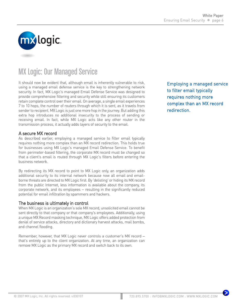

# MX Logic: Our Managed Service

It should now be evident that, although email is inherently vulnerable to risk, using a managed email defense service is the key to strengthening network security. In fact, MX Logic's managed Email Defense Service was designed to provide comprehensive filtering and security while still ensuring its customers retain complete control over their email. On average, a single email experiences 7 to 10 hops, the number of routers through which it is sent, as it travels from sender to recipient. MX Logic is just one more hop in the journey. But adding this extra hop introduces no additional insecurity to the process of sending or receiving email. In fact, while MX Logic acts like any other router in the transmission process, it actually adds layers of security to the email.

#### A secure MX record

As described earlier, employing a managed service to filter email typically requires nothing more complex than an MX record redirection. This holds true for businesses using MX Logic's managed Email Defense Service. To benefit from perimeter-based filtering, the corporate MX record must be changed so that a client's email is routed through MX Logic's filters before entering the business network.

By redirecting its MX record to point to MX Logic only, an organization adds additional security to its internal network because now all email and emailborne threats are directed to MX Logic first. By 'delisting' or hiding its MX record from the public Internet, less information is available about the company, its corporate network, and its employees – resulting in the significantly reduced potential for email infiltration by spammers and hackers.

#### The business is ultimately in control

When MX Logic is an organization's sole MX record, unsolicited email cannot be sent directly to that company or that company's employees. Additionally, using a unique MX Record masking technique, MX Logic offers added protection from denial of service attacks, directory and dictionary harvest attacks, mail bombs, and channel flooding.

Remember, however, that MX Logic never controls a customer's MX record − that's entirely up to the client organization. At any time, an organization can remove MX Logic as the primary MX record and switch back to its own.

Employing a managed service to filter email typically requires nothing more complex than an MX record redirection.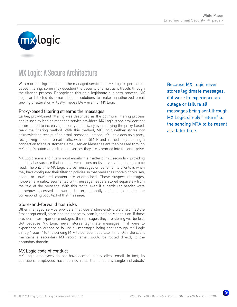

# MX Logic: A Secure Architecture

With more background about the managed service and MX Logic's perimeterbased filtering, some may question the security of email as it travels through the filtering process. Recognizing this as a legitimate business concern, MX Logic architected its email defense solutions to make unauthorized email viewing or alteration virtually impossible − even for MX Logic.

#### Proxy-based filtering streams the messages

Earlier, proxy-based filtering was described as the optimum filtering process and is used by leading managed service providers. MX Logic is one provider that is committed to increasing security and privacy by employing the proxy-based, real-time filtering method. With this method, MX Logic neither stores nor acknowledges receipt of an email message. Instead, MX Logic acts as a proxy, recognizing inbound email traffic with the SMTP and immediately opening a connection to the customer's email server. Messages are then passed through MX Logic's automated filtering layers as they are streamed into the enterprise.

MX Logic scans and filters most emails in a matter of milliseconds - providing additional assurance that email never resides on its servers long enough to be read. The only time MX Logic stores messages on behalf of its clients is when they have configured their filtering policies so that messages containing viruses, spam, or unwanted content are quarantined. Those suspect messages, however, are safely segmented with message headers stored separately from the text of the message. With this tactic, even if a particular header were somehow accessed, it would be exceptionally difficult to locate the corresponding body text of that message.

#### Store-and-forward has risks

Other managed service providers that use a store-and-forward architecture first accept email, store it on their servers, scan it, and finally send it on. If those providers ever experience outages, the messages they are storing will be lost. But because MX Logic never stores legitimate messages, if it were to experience an outage or failure all messages being sent through MX Logic simply "return" to the sending MTA to be resent at a later time. Or, if the client maintains a secondary MX record, email would be routed directly to the secondary domain.

#### MX Logic code of conduct

MX Logic employees do not have access to any client email. In fact, its operations employees have defined roles that limit any single individuals'

Because MX Logic never stores legitimate messages, if it were to experience an outage or failure all messages being sent through MX Logic simply "return" to the sending MTA to be resent at a later time.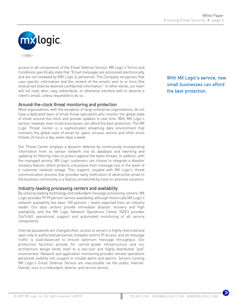

access to all components of the Email Defense Service. MX Logic's Terms and Conditions specifically state that "Email messages are processed electronically, and are not reviewed by [MX Logic's] personnel. The Company recognizes that user-specific information and the content of the emails sent to or from [the enterprise] shall be deemed confidential information." In other words, our team will not read, alter, copy, redistribute, or otherwise interfere with or observe a client's email, unless requested to do so.

#### Around-the-clock threat monitoring and protection

Most organizations, with the exception of large enterprise organizations, do not have a dedicated team of email threat specialists who monitor the global state of email around-the-clock and provide updates in real time. With MX Logic's service, however, even small businesses can afford the best protection. The MX Logic Threat Center is a sophisticated streaming data environment that monitors the global state of email for spam, viruses, worms and other email threats 24 hours a day, seven days a week.

Our Threat Center employs a dynamic defense by continuously incorporating information from its sensor network into its database and rewriting and updating its filtering rules to protect against the latest threats. In addition, with the managed service, MX Logic customers can choose to integrate a disaster recovery feature, which protects a business from message loss in the event of a customer network outage. This support, coupled with MX Logic's threat communication process that provides early notification of destructive email to the business community, is a feature unmatched by most on-premise solutions.

#### Industry-leading processing centers and availability

By utilizing leading technology and redundant message processing centers, MX Logic provides 99.99 percent service availability, although historically MX Logic's network availability has been 100 percent – levels expected from an industry leader. Our data centers provide immediate disaster recovery and high availability, and the MX Logic Network Operations Center (NOC) provides 24x7x365 operational support and automated monitoring of all service components.

Internal passwords are changed often, access to servers is highly restricted and open only to authorized personnel, firewalls restrict IP access, and all message traffic is load-balanced to ensure optimum message throughput. Our production facilities provide for carrier-grade infrastructure and our architecture design lends itself to a low-cost and highly distributed "pod" environment. Network and application monitoring provides remote operations personnel visibility into suspect or trouble alerts and alarms. Servers running MX Logic's Email Defense Service are inaccessible via the public Internet. Overall, ours is a redundant, diverse, and secure service.

With MX Logic's service, now small businesses can afford the best protection.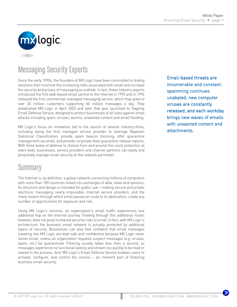

# Messaging Security Experts

Since the early 1990s, the founders of MX Logic have been committed to finding solutions that minimize the increasing risks associated with email and increase the security and privacy of messaging as a whole. In fact, these industry experts introduced the first web-based email service to the Internet in 1995 and in 1996 released the first commercial-managed messaging service, which they grew to over 30 million customers supporting 60 million messages a day. They established MX Logic in April 2002 and later that year launched its flagship Email Defense Service, designed to protect businesses of all sizes against email attacks including spam, viruses, worms, unwanted content and email flooding.

MX Logic's focus on innovation led to the launch of several industry-firsts, including being the first managed service provider to leverage Bayesian Statistical Classification, provide spam beacon blocking, offer quarantine management via email, and provide corporate-level quarantine release reports. With three levels of defense to choose from and around-the-clock protection at every level, businesses, service providers and channel partners can easily and proactively manage email security at the network perimeter.

# **Summary**

The Internet is, by definition, a global network connecting millions of computers with more than 100 countries linked into exchanges of data, news and opinions. Its structure and design is intended for public use – making secure and private electronic messaging nearly impossible. Internet service providers, and the many routers through which email passes en route to its destination, create any number of opportunities for exposure and risk.

Using MX Logic's services, an organization's email traffic experiences one additional hop on the Internet journey. Flowing through this additional router, however, does not pose increased security risks to email. In fact, with MX Logic's architecture, the business email network is actually protected by additional layers of security. Businesses can also feel confident that email messages traveling into MX Logic are kept safe and confidential because MX Logic never stores email, unless an organization requests suspect messages (e.g. viruses, spam, etc.) be quarantined. Filtering usually takes less than a second, so messages experience no functional latency and stream too quickly to be read or viewed in the process. And, MX Logic's Email Defense Service enables users to activate, configure, and control the service – an inherent part of fostering business email security.

Email-based threats are innumerable and constant: spamming continues unabated, new computer viruses are constantly released, and each workday brings new waves of emails with unwanted content and attachments.